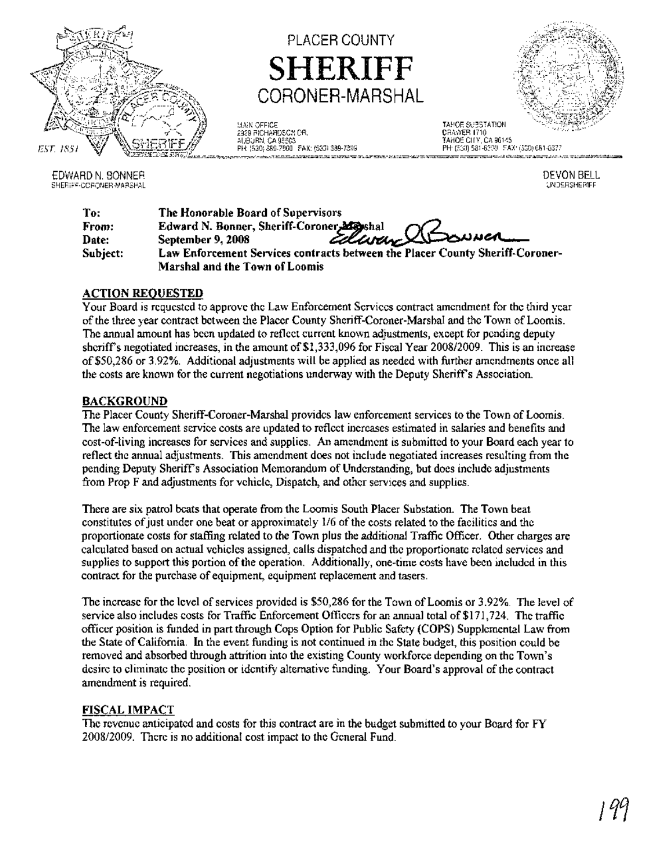

EDWARD N. BONNER SHERIFF-CORONER-MARSHAL

PLACER COUNTY SHERIFF CORONER-MARSHAL

MAIN OFFICE 2329 RICHARDSCN OR. AUBURN, CA 95603 PH: (530) 889-7900 FAX: (530) 389-7399 TAHOE SUBSTATION

CRAWER 1710 TAHOE CITY, CA 96145 PH (530) 581-6300 FAX: (530) 681-6377

> DEVON BELL UNDERSHERIFF

| To:      | The Honorable Board of Supervisors                                                         |
|----------|--------------------------------------------------------------------------------------------|
| From:    | Edward N. Bonner, Sheriff-Coroner, Mayshal<br>September 9, 2008 <i>Ellinary</i> Alban wert |
| Date:    |                                                                                            |
| Subject: | Law Enforcement Services contracts between the Placer County Sheriff-Coroner-              |
|          | Marshal and the Town of Loomis                                                             |

# ACTION REQUESTED

Your Board is requested to approve the Law Enforcement Services contract amendment for the third year ofthe three year contract between the Placer County Sheriff-Coroner-Marshal and the Town ofLoomis. The annual amount has been updated to reflect current known adjustments, except for pending deputy sheriff's negotiated increases, in the amount of \$1,333,096 for Fiscal Year 2008/2009. This is an increase of\$50,286 or 3.92%. Additional adjustments will be applied as needed with further amendments once all the costs are known for the current negotiations underway with the Deputy Sheriffs Association.

# BACKGROUND

The Placer County Sheriff-Coroner-Marshal provides law enforcement services to the Town of Loomis. The law enforcement service costs are updated to reflect increases estimated in salaries and benefits and cost-of-living increases for services and supplies. An amendment is submitted to your Board each year to reflect the annual adjustments. This amendment does not include negotiated increases resulting from the pending Deputy Sheriffs Association Memorandum of Understanding, but does include adjustments from Prop F and adjustments for vehicle, Dispatch, and other services and supplies.

There are six patrol beats that operate from the Loomis South Placer Substation. The Town beat constitutes of just under one beat or approximately 1/6 of the costs related to the facilities and the proportionate costs for staffing related to the Town plus the additional Traffic Officer. Other charges are calculated based on actual vehicles assigned, calls dispatched and the proportionate related services and supplies to support this portion of the operation. Additionally, one-time costs have been included in this contract for the purchase of equipment, equipment replacement and tasers.

The increase for the level of services provided is \$50,286 for the Town of Loomis or 3.92%. The level of service also includes costs for Traffic Enforcement Officers for an annual total of \$171,724. The traffic officer position is funded in part through Cops Option for Public Safety (COPS) Supplemental Law from the State ofCalifornia. In the event funding is not continued in the State budget, this position could be removed and absorbed through attrition into the existing County workforce depending on the Town's desire to eliminate the position or identify alternative funding. Your Board's approval of the contract amendment is required.

## FISCAL IMPACT

The revenue anticipated and costs for this contract are in the budget submitted to your Board for FY 2008/2009. There is no additional cost impact to the General Fund.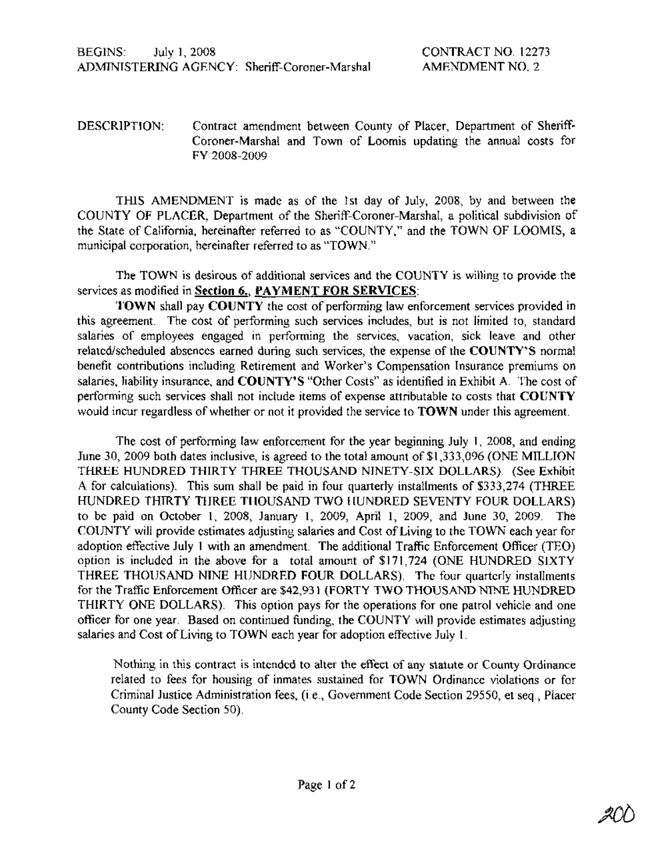DESCRIPTION: Contract amendment between County of Placer, Department of Sheriff-Coroner-Marshal and Town of Loomis updating the annual costs for FY 2008-2009

TIllS AMENDMENT is made as of the 1st day of July, 2008, by and between the COUNTY OF PLACER, Department of the Sheriff-Coroner-Marshal, a political subdivision of the State of California, hereinafter referred to as "COUNTY," and the TOWN OF LOOMIS, a municipal corporation, hereinafter referred to as "TOWN."

The TOWN is desirous of additional services and the COUNTY is willing to provide the services as modified in Section 6., PAYMENT FOR SERVICES:

TOWN shall pay COUNTY the cost of performing law enforcement services provided in this agreement. The cost of performing such services includes, but is not limited to, standard salaries of employees engaged in performing the services, vacation, sick leave and other related/scheduled absences earned during such services, the expense of the COUNTY'S normal benefit contributions including Retirement and Worker's Compensation Insurance premiums on salaries, liability insurance, and COUNTY'S "Other Costs" as identified in Exhibit A. The cost of performing such services shall not include items of expense attributable to costs that COUNTY would incur regardless of whether or not it provided the service to TOWN under this agreement.

The cost of performing law enforcement for the year beginning July 1, 2008, and ending June 30, 2009 both dates inclusive, is agreed to the total amount of \$1,333,096 (ONE MILLION THREE HUNDRED THIRTY THREE THOUSAND NINETY-SIX DOLLARS). (See Exhibit A for calculations). This sum shall be paid in four quarterly installments of \$333,274 (THREE HUNDRED THIRTY THREE THOUSAND TWO HUNDRED SEVENTY FOUR DOLLARS) to be paid on October 1, 2008, January 1, 2009, April 1, 2009, and June 30, 2009. The COUNTY will provide estimates adjusting salaries and Cost of Living to the TOWN each year for adoption effective July 1 with an amendment. The additional Traffic Enforcement Officer (TEO) option is included in the above for a total amount of \$171,724 (ONE HUNDRED SIXTY THREE THOUSAND NINE HUNDRED FOUR DOLLARS). The four quarterly installments for the Traffic Enforcement Officer are \$42,931 (FORTY TWO THOUSAND NINE HUNDRED THIRTY ONE DOLLARS). This option pays for the operations for one patrol vehicle and one officer for one year. Based on continued funding, the COUNTY will provide estimates adjusting salaries and Cost of Living to TOWN each year for adoption effective July 1.

Nothing in this contract is intended to alter the effect of any statute or County Ordinance related to fees for housing of inmates sustained for TOWN Ordinance violations or for Criminal Justice Administration fees, (i.e., Government Code Section 29550, et seq., Placer County Code Section 50).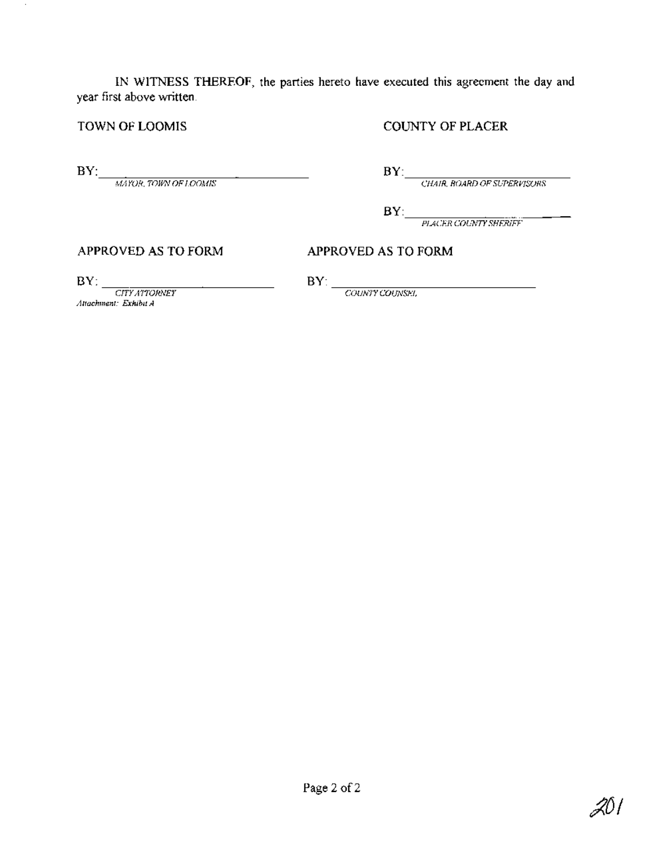**IN WITNESS THEREOF, the parties hereto have executed this agreement the day and year first above written.**

**TOWN OF LOOMIS COUNTY OF PLACER**

 $\sim$ 

**BY:**---:-:-:-::-::-=-==-=-==-=c=":-:::::-------

*MAYOR, TOWN OFLOOMIS CHAIR, BOARD OFSUPERVISORS*

*PLACER COUNTYSHERIFF*

**APPROVED AS TO FORM APPROVED AS TO FORM**

*Attachment: ExhibitA* **BY:**  $\frac{CITYATIONEY}{CITYATIONEY}$ 

*COUNTY COUNSEL* **BY:** *CITYATTORNEY BY: <i>COUNTY COUNSEI*,